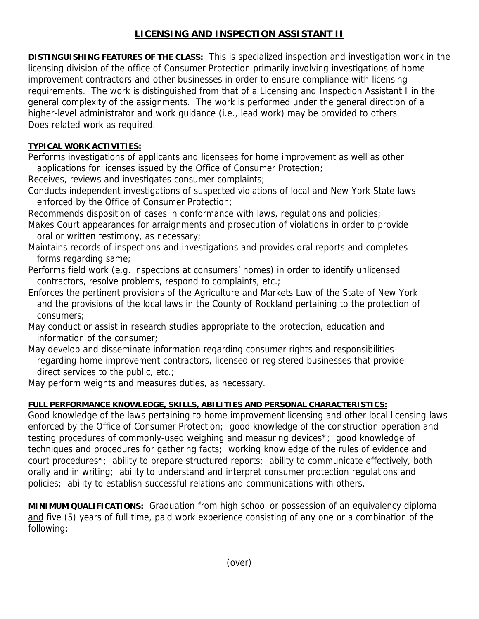## **LICENSING AND INSPECTION ASSISTANT II**

**DISTINGUISHING FEATURES OF THE CLASS:** This is specialized inspection and investigation work in the licensing division of the office of Consumer Protection primarily involving investigations of home improvement contractors and other businesses in order to ensure compliance with licensing requirements. The work is distinguished from that of a Licensing and Inspection Assistant I in the general complexity of the assignments. The work is performed under the general direction of a higher-level administrator and work guidance (i.e., lead work) may be provided to others. Does related work as required.

## **TYPICAL WORK ACTIVITIES:**

Performs investigations of applicants and licensees for home improvement as well as other applications for licenses issued by the Office of Consumer Protection;

Receives, reviews and investigates consumer complaints;

Conducts independent investigations of suspected violations of local and New York State laws enforced by the Office of Consumer Protection;

Recommends disposition of cases in conformance with laws, regulations and policies;

- Makes Court appearances for arraignments and prosecution of violations in order to provide oral or written testimony, as necessary;
- Maintains records of inspections and investigations and provides oral reports and completes forms regarding same;
- Performs field work (e.g. inspections at consumers' homes) in order to identify unlicensed contractors, resolve problems, respond to complaints, etc.;
- Enforces the pertinent provisions of the Agriculture and Markets Law of the State of New York and the provisions of the local laws in the County of Rockland pertaining to the protection of consumers;
- May conduct or assist in research studies appropriate to the protection, education and information of the consumer;
- May develop and disseminate information regarding consumer rights and responsibilities regarding home improvement contractors, licensed or registered businesses that provide direct services to the public, etc.;

May perform weights and measures duties, as necessary.

## **FULL PERFORMANCE KNOWLEDGE, SKILLS, ABILITIES AND PERSONAL CHARACTERISTICS:**

Good knowledge of the laws pertaining to home improvement licensing and other local licensing laws enforced by the Office of Consumer Protection; good knowledge of the construction operation and testing procedures of commonly-used weighing and measuring devices\*; good knowledge of techniques and procedures for gathering facts; working knowledge of the rules of evidence and court procedures\*; ability to prepare structured reports; ability to communicate effectively, both orally and in writing; ability to understand and interpret consumer protection regulations and policies; ability to establish successful relations and communications with others.

**MINIMUM QUALIFICATIONS:** Graduation from high school or possession of an equivalency diploma and five (5) years of full time, paid work experience consisting of any one or a combination of the following: